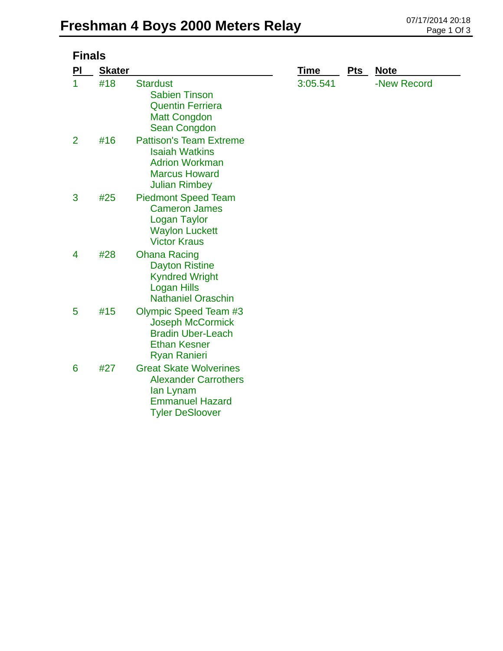| <b>Finals</b>  |               |                                                                                                                                   |             |            |             |  |
|----------------|---------------|-----------------------------------------------------------------------------------------------------------------------------------|-------------|------------|-------------|--|
| PI             | <b>Skater</b> |                                                                                                                                   | <b>Time</b> | <b>Pts</b> | <b>Note</b> |  |
| 1              | #18           | <b>Stardust</b><br><b>Sabien Tinson</b><br><b>Quentin Ferriera</b><br><b>Matt Congdon</b><br>Sean Congdon                         | 3:05.541    |            | -New Record |  |
| $\overline{2}$ | #16           | <b>Pattison's Team Extreme</b><br><b>Isaiah Watkins</b><br><b>Adrion Workman</b><br><b>Marcus Howard</b><br><b>Julian Rimbey</b>  |             |            |             |  |
| 3              | #25           | <b>Piedmont Speed Team</b><br><b>Cameron James</b><br><b>Logan Taylor</b><br><b>Waylon Luckett</b><br><b>Victor Kraus</b>         |             |            |             |  |
| 4              | #28           | <b>Ohana Racing</b><br><b>Dayton Ristine</b><br><b>Kyndred Wright</b><br><b>Logan Hills</b><br><b>Nathaniel Oraschin</b>          |             |            |             |  |
| 5              | #15           | <b>Olympic Speed Team #3</b><br><b>Joseph McCormick</b><br><b>Bradin Uber-Leach</b><br><b>Ethan Kesner</b><br><b>Ryan Ranieri</b> |             |            |             |  |
| 6              | #27           | <b>Great Skate Wolverines</b><br><b>Alexander Carrothers</b><br>lan Lynam<br><b>Emmanuel Hazard</b><br><b>Tyler DeSloover</b>     |             |            |             |  |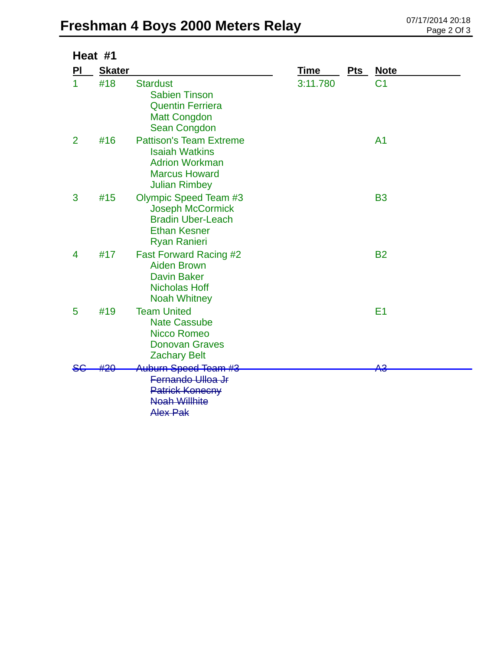## **Freshman 4 Boys 2000 Meters Relay** 07/17/2014 20:18

| Heat #1        |               |                                                                                                                                   |             |            |                |
|----------------|---------------|-----------------------------------------------------------------------------------------------------------------------------------|-------------|------------|----------------|
| PI             | <b>Skater</b> |                                                                                                                                   | <b>Time</b> | <b>Pts</b> | <b>Note</b>    |
| 1              | #18           | <b>Stardust</b><br><b>Sabien Tinson</b><br><b>Quentin Ferriera</b><br><b>Matt Congdon</b><br>Sean Congdon                         | 3:11.780    |            | C <sub>1</sub> |
| $\overline{2}$ | #16           | <b>Pattison's Team Extreme</b><br><b>Isaiah Watkins</b><br><b>Adrion Workman</b><br><b>Marcus Howard</b><br><b>Julian Rimbey</b>  |             |            | A <sub>1</sub> |
| 3              | #15           | <b>Olympic Speed Team #3</b><br><b>Joseph McCormick</b><br><b>Bradin Uber-Leach</b><br><b>Ethan Kesner</b><br><b>Ryan Ranieri</b> |             |            | <b>B3</b>      |
| 4              | #17           | <b>Fast Forward Racing #2</b><br><b>Aiden Brown</b><br><b>Davin Baker</b><br><b>Nicholas Hoff</b><br><b>Noah Whitney</b>          |             |            | <b>B2</b>      |
| 5              | #19           | <b>Team United</b><br><b>Nate Cassube</b><br>Nicco Romeo<br><b>Donovan Graves</b><br><b>Zachary Belt</b>                          |             |            | E <sub>1</sub> |
|                |               | Auburn Speed Team #3<br>Fernando Ulloa Jr<br><b>Patrick Konecny</b><br><b>Noah Willhite</b><br><b>Alex Pak</b>                    |             |            | AЗ             |